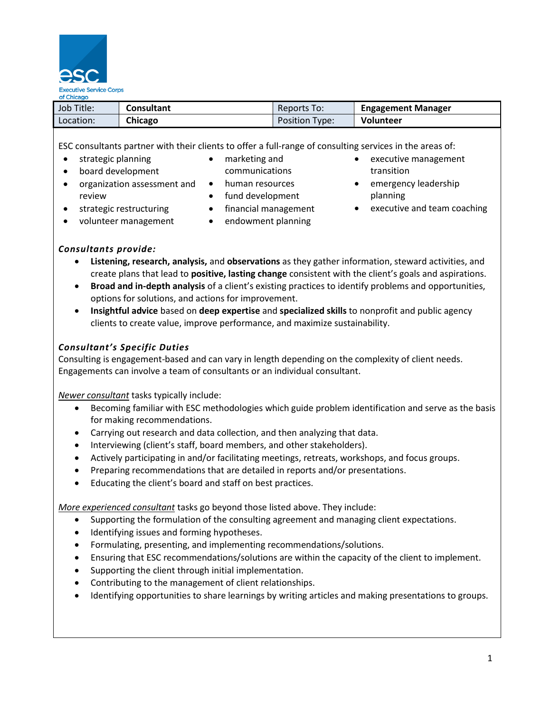

| Job Title: | Consultant | Reports To:           | <b>Engagement Manager</b> |
|------------|------------|-----------------------|---------------------------|
| Location:  | Chicago    | <b>Position Type:</b> | <b>Volunteer</b>          |

ESC consultants partner with their clients to offer a full-range of consulting services in the areas of:

- strategic planning
- board development

review

- marketing and
- communications
- organization assessment and human resources
	- fund development
	- financial management
- volunteer management

strategic restructuring

- endowment planning
- executive management transition
- **•** emergency leadership planning
- executive and team coaching

- *Consultants provide:*
	- **Listening, research, analysis,** and **observations** as they gather information, steward activities, and create plans that lead to **positive, lasting change** consistent with the client's goals and aspirations.
	- **Broad and in-depth analysis** of a client's existing practices to identify problems and opportunities, options for solutions, and actions for improvement.
	- **Insightful advice** based on **deep expertise** and **specialized skills** to nonprofit and public agency clients to create value, improve performance, and maximize sustainability.

# *Consultant's Specific Duties*

Consulting is engagement-based and can vary in length depending on the complexity of client needs. Engagements can involve a team of consultants or an individual consultant.

*Newer consultant* tasks typically include:

- Becoming familiar with ESC methodologies which guide problem identification and serve as the basis for making recommendations.
- Carrying out research and data collection, and then analyzing that data.
- Interviewing (client's staff, board members, and other stakeholders).
- Actively participating in and/or facilitating meetings, retreats, workshops, and focus groups.
- Preparing recommendations that are detailed in reports and/or presentations.
- Educating the client's board and staff on best practices.

*More experienced consultant* tasks go beyond those listed above. They include:

- Supporting the formulation of the consulting agreement and managing client expectations.
- Identifying issues and forming hypotheses.
- Formulating, presenting, and implementing recommendations/solutions.
- Ensuring that ESC recommendations/solutions are within the capacity of the client to implement.
- Supporting the client through initial implementation.
- Contributing to the management of client relationships.
- Identifying opportunities to share learnings by writing articles and making presentations to groups.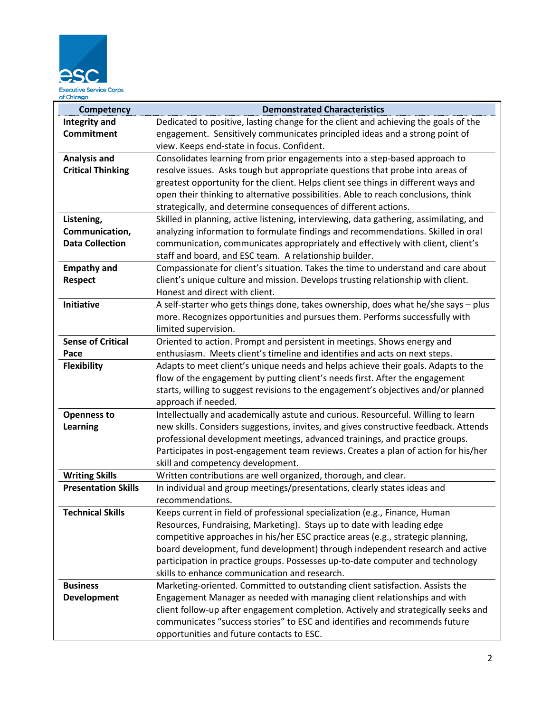

| Competency                 | <b>Demonstrated Characteristics</b>                                                                                                                               |  |
|----------------------------|-------------------------------------------------------------------------------------------------------------------------------------------------------------------|--|
| <b>Integrity and</b>       | Dedicated to positive, lasting change for the client and achieving the goals of the                                                                               |  |
| <b>Commitment</b>          | engagement. Sensitively communicates principled ideas and a strong point of                                                                                       |  |
|                            | view. Keeps end-state in focus. Confident.                                                                                                                        |  |
| <b>Analysis and</b>        | Consolidates learning from prior engagements into a step-based approach to                                                                                        |  |
| <b>Critical Thinking</b>   | resolve issues. Asks tough but appropriate questions that probe into areas of                                                                                     |  |
|                            | greatest opportunity for the client. Helps client see things in different ways and                                                                                |  |
|                            | open their thinking to alternative possibilities. Able to reach conclusions, think                                                                                |  |
|                            | strategically, and determine consequences of different actions.                                                                                                   |  |
| Listening,                 | Skilled in planning, active listening, interviewing, data gathering, assimilating, and                                                                            |  |
| Communication,             | analyzing information to formulate findings and recommendations. Skilled in oral                                                                                  |  |
| <b>Data Collection</b>     | communication, communicates appropriately and effectively with client, client's                                                                                   |  |
|                            | staff and board, and ESC team. A relationship builder.                                                                                                            |  |
| <b>Empathy and</b>         | Compassionate for client's situation. Takes the time to understand and care about                                                                                 |  |
| <b>Respect</b>             | client's unique culture and mission. Develops trusting relationship with client.                                                                                  |  |
|                            | Honest and direct with client.                                                                                                                                    |  |
| <b>Initiative</b>          | A self-starter who gets things done, takes ownership, does what he/she says - plus                                                                                |  |
|                            | more. Recognizes opportunities and pursues them. Performs successfully with                                                                                       |  |
|                            | limited supervision.                                                                                                                                              |  |
| <b>Sense of Critical</b>   | Oriented to action. Prompt and persistent in meetings. Shows energy and                                                                                           |  |
| Pace                       | enthusiasm. Meets client's timeline and identifies and acts on next steps.                                                                                        |  |
| <b>Flexibility</b>         | Adapts to meet client's unique needs and helps achieve their goals. Adapts to the                                                                                 |  |
|                            | flow of the engagement by putting client's needs first. After the engagement                                                                                      |  |
|                            | starts, willing to suggest revisions to the engagement's objectives and/or planned                                                                                |  |
|                            | approach if needed.                                                                                                                                               |  |
| <b>Openness to</b>         | Intellectually and academically astute and curious. Resourceful. Willing to learn                                                                                 |  |
| <b>Learning</b>            | new skills. Considers suggestions, invites, and gives constructive feedback. Attends                                                                              |  |
|                            | professional development meetings, advanced trainings, and practice groups.<br>Participates in post-engagement team reviews. Creates a plan of action for his/her |  |
|                            | skill and competency development.                                                                                                                                 |  |
| <b>Writing Skills</b>      | Written contributions are well organized, thorough, and clear.                                                                                                    |  |
| <b>Presentation Skills</b> | In individual and group meetings/presentations, clearly states ideas and                                                                                          |  |
|                            | recommendations.                                                                                                                                                  |  |
| <b>Technical Skills</b>    | Keeps current in field of professional specialization (e.g., Finance, Human                                                                                       |  |
|                            | Resources, Fundraising, Marketing). Stays up to date with leading edge                                                                                            |  |
|                            | competitive approaches in his/her ESC practice areas (e.g., strategic planning,                                                                                   |  |
|                            | board development, fund development) through independent research and active                                                                                      |  |
|                            | participation in practice groups. Possesses up-to-date computer and technology                                                                                    |  |
|                            | skills to enhance communication and research.                                                                                                                     |  |
| <b>Business</b>            | Marketing-oriented. Committed to outstanding client satisfaction. Assists the                                                                                     |  |
| Development                | Engagement Manager as needed with managing client relationships and with                                                                                          |  |
|                            | client follow-up after engagement completion. Actively and strategically seeks and                                                                                |  |
|                            | communicates "success stories" to ESC and identifies and recommends future                                                                                        |  |
|                            | opportunities and future contacts to ESC.                                                                                                                         |  |